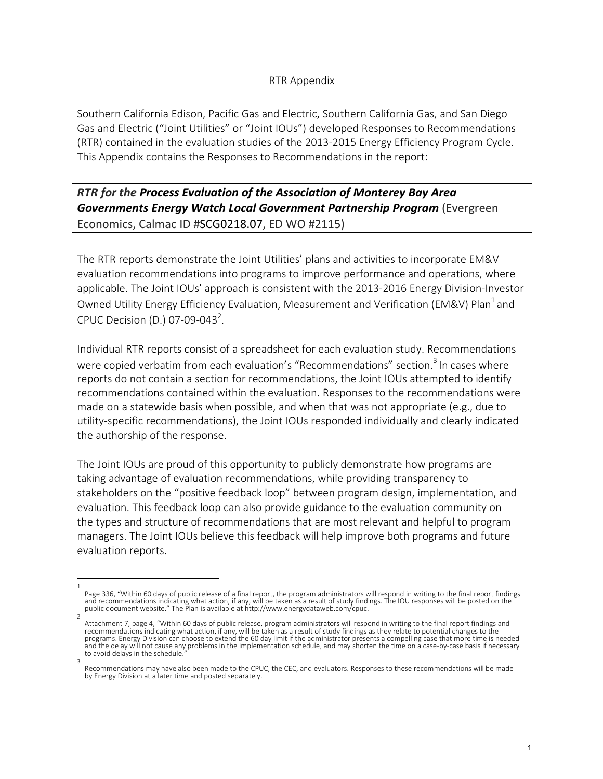## RTR Appendix

Southern California Edison, Pacific Gas and Electric, Southern California Gas, and San Diego Gas and Electric ("Joint Utilities" or "Joint IOUs") developed Responses to Recommendations (RTR) contained in the evaluation studies of the 2013-2015 Energy Efficiency Program Cycle. This Appendix contains the Responses to Recommendations in the report:

## *RTR for the Process Evaluation of the Association of Monterey Bay Area Governments Energy Watch Local Government Partnership Program* (Evergreen Economics, Calmac ID #SCG0218.07, ED WO #2115)

The RTR reports demonstrate the Joint Utilities' plans and activities to incorporate EM&V evaluation recommendations into programs to improve performance and operations, where applicable. The Joint IOUs' approach is consistent with the 2013-2016 Energy Division-Investor Owned Utility Energy Efficiency Evaluation, Measurement and Verification (EM&V) Plan<sup>1</sup> and CPUC Decision (D.) 07-09-043<sup>2</sup>.

Individual RTR reports consist of a spreadsheet for each evaluation study. Recommendations were copied verbatim from each evaluation's "Recommendations" section.<sup>3</sup> In cases where reports do not contain a section for recommendations, the Joint IOUs attempted to identify recommendations contained within the evaluation. Responses to the recommendations were made on a statewide basis when possible, and when that was not appropriate (e.g., due to utility-specific recommendations), the Joint IOUs responded individually and clearly indicated the authorship of the response.

The Joint IOUs are proud of this opportunity to publicly demonstrate how programs are taking advantage of evaluation recommendations, while providing transparency to stakeholders on the "positive feedback loop" between program design, implementation, and evaluation. This feedback loop can also provide guidance to the evaluation community on the types and structure of recommendations that are most relevant and helpful to program managers. The Joint IOUs believe this feedback will help improve both programs and future evaluation reports.

<sup>1</sup>  Page 336, "Within 60 days of public release of a final report, the program administrators will respond in writing to the final report findings<br>and recommendations indicating what action, if any, will be taken as a result o public document website." The Plan is available at http://www.energydataweb.com/cpuc.

Attachment 7, page 4, "Within 60 days of public release, program administrators will respond in writing to the final report findings and recommendations indicating what action, if any, will be taken as a result of study findings as they relate to potential changes to the programs. Energy Division can choose to extend the 60 day limit if the administrator presents a compelling case that more time is needed and the delay will not cause any problems in the implementation schedule, and may shorten the time on a case-by-case basis if necessary to avoid delays in the schedule.

Recommendations may have also been made to the CPUC, the CEC, and evaluators. Responses to these recommendations will be made by Energy Division at a later time and posted separately.